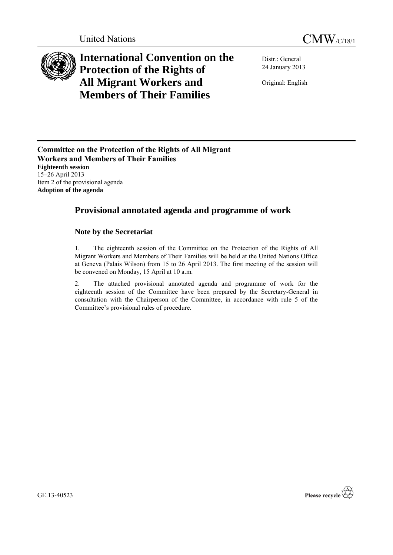

# **International Convention on the Protection of the Rights of All Migrant Workers and Members of Their Families**

Distr.: General 24 January 2013

Original: English

**Committee on the Protection of the Rights of All Migrant Workers and Members of Their Families Eighteenth session** 15–26 April 2013 Item 2 of the provisional agenda **Adoption of the agenda**

## **Provisional annotated agenda and programme of work**

### **Note by the Secretariat**

1. The eighteenth session of the Committee on the Protection of the Rights of All Migrant Workers and Members of Their Families will be held at the United Nations Office at Geneva (Palais Wilson) from 15 to 26 April 2013. The first meeting of the session will be convened on Monday, 15 April at 10 a.m.

2. The attached provisional annotated agenda and programme of work for the eighteenth session of the Committee have been prepared by the Secretary-General in consultation with the Chairperson of the Committee, in accordance with rule 5 of the Committee's provisional rules of procedure.

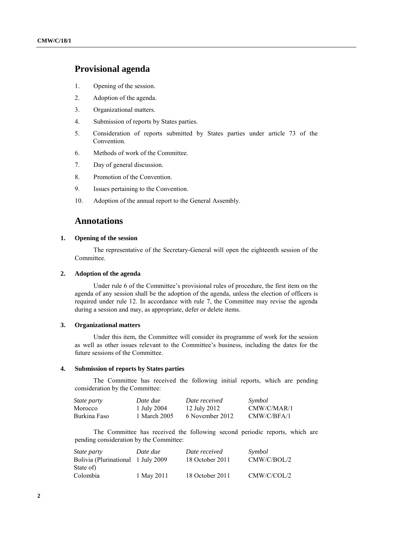## **Provisional agenda**

- 1. Opening of the session.
- 2. Adoption of the agenda.
- 3. Organizational matters.
- 4. Submission of reports by States parties.
- 5. Consideration of reports submitted by States parties under article 73 of the Convention.
- 6. Methods of work of the Committee.
- 7. Day of general discussion.
- 8. Promotion of the Convention.
- 9. Issues pertaining to the Convention.
- 10. Adoption of the annual report to the General Assembly.

### **Annotations**

#### **1. Opening of the session**

The representative of the Secretary-General will open the eighteenth session of the Committee.

#### **2. Adoption of the agenda**

Under rule 6 of the Committee's provisional rules of procedure, the first item on the agenda of any session shall be the adoption of the agenda, unless the election of officers is required under rule 12. In accordance with rule 7, the Committee may revise the agenda during a session and may, as appropriate, defer or delete items.

#### **3. Organizational matters**

Under this item, the Committee will consider its programme of work for the session as well as other issues relevant to the Committee's business, including the dates for the future sessions of the Committee.

#### **4. Submission of reports by States parties**

The Committee has received the following initial reports, which are pending consideration by the Committee:

| <i>State party</i> | Date due     | Date received   | Symbol      |
|--------------------|--------------|-----------------|-------------|
| Morocco            | 1 July 2004  | 12 July 2012    | CMW/C/MAR/1 |
| Burkina Faso       | 1 March 2005 | 6 November 2012 | CMW/C/BFA/1 |

The Committee has received the following second periodic reports, which are pending consideration by the Committee:

| <i>State party</i>                  | Date due   | Date received   | Symbol      |
|-------------------------------------|------------|-----------------|-------------|
| Bolivia (Plurinational 1 July 2009) |            | 18 October 2011 | CMW/C/BOL/2 |
| State of)                           |            |                 |             |
| Colombia                            | 1 May 2011 | 18 October 2011 | CMW/C/COL/2 |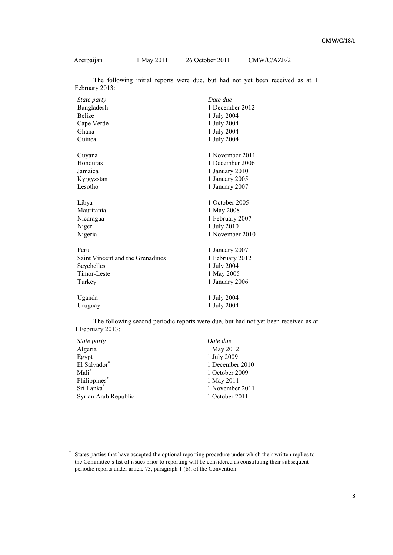Azerbaijan 1 May 2011 26 October 2011 CMW/C/AZE/2

The following initial reports were due, but had not yet been received as at 1 February 2013:

| <i>State party</i>               | Date due        |
|----------------------------------|-----------------|
| Bangladesh                       | 1 December 2012 |
| <b>Belize</b>                    | 1 July 2004     |
| Cape Verde                       | 1 July 2004     |
| Ghana                            | 1 July 2004     |
| Guinea                           | 1 July 2004     |
| Guyana                           | 1 November 2011 |
| Honduras                         | 1 December 2006 |
| Jamaica                          | 1 January 2010  |
| Kyrgyzstan                       | 1 January 2005  |
| Lesotho                          | 1 January 2007  |
| Libya                            | 1 October 2005  |
| Mauritania                       | 1 May 2008      |
| Nicaragua                        | 1 February 2007 |
| Niger                            | 1 July 2010     |
| Nigeria                          | 1 November 2010 |
| Peru                             | 1 January 2007  |
| Saint Vincent and the Grenadines | 1 February 2012 |
| Seychelles                       | 1 July 2004     |
| Timor-Leste                      | 1 May 2005      |
| Turkey                           | 1 January 2006  |
| Uganda                           | 1 July 2004     |
| Uruguay                          | 1 July 2004     |

The following second periodic reports were due, but had not yet been received as at 1 February 2013:

| State party            | Date due        |
|------------------------|-----------------|
| Algeria                | 1 May 2012      |
| Egypt                  | 1 July 2009     |
| El Salvador*           | 1 December 2010 |
| Mali <sup>*</sup>      | 1 October 2009  |
| Philippines*           | 1 May 2011      |
| Sri Lanka <sup>*</sup> | 1 November 2011 |
| Syrian Arab Republic   | 1 October 2011  |

<sup>\*</sup> States parties that have accepted the optional reporting procedure under which their written replies to the Committee's list of issues prior to reporting will be considered as constituting their subsequent periodic reports under article 73, paragraph 1 (b), of the Convention.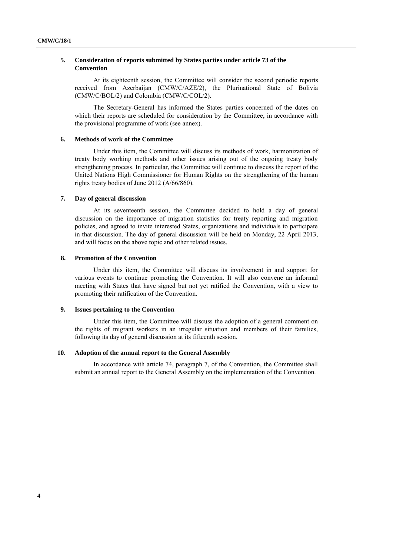#### **5. Consideration of reports submitted by States parties under article 73 of the Convention**

At its eighteenth session, the Committee will consider the second periodic reports received from Azerbaijan (CMW/C/AZE/2), the Plurinational State of Bolivia (CMW/C/BOL/2) and Colombia (CMW/C/COL/2).

The Secretary-General has informed the States parties concerned of the dates on which their reports are scheduled for consideration by the Committee, in accordance with the provisional programme of work (see annex).

#### **6. Methods of work of the Committee**

Under this item, the Committee will discuss its methods of work, harmonization of treaty body working methods and other issues arising out of the ongoing treaty body strengthening process. In particular, the Committee will continue to discuss the report of the United Nations High Commissioner for Human Rights on the strengthening of the human rights treaty bodies of June 2012 (A/66/860).

#### **7. Day of general discussion**

At its seventeenth session, the Committee decided to hold a day of general discussion on the importance of migration statistics for treaty reporting and migration policies, and agreed to invite interested States, organizations and individuals to participate in that discussion. The day of general discussion will be held on Monday, 22 April 2013, and will focus on the above topic and other related issues.

#### **8. Promotion of the Convention**

Under this item, the Committee will discuss its involvement in and support for various events to continue promoting the Convention. It will also convene an informal meeting with States that have signed but not yet ratified the Convention, with a view to promoting their ratification of the Convention.

#### **9. Issues pertaining to the Convention**

Under this item, the Committee will discuss the adoption of a general comment on the rights of migrant workers in an irregular situation and members of their families, following its day of general discussion at its fifteenth session.

#### **10. Adoption of the annual report to the General Assembly**

In accordance with article 74, paragraph 7, of the Convention, the Committee shall submit an annual report to the General Assembly on the implementation of the Convention.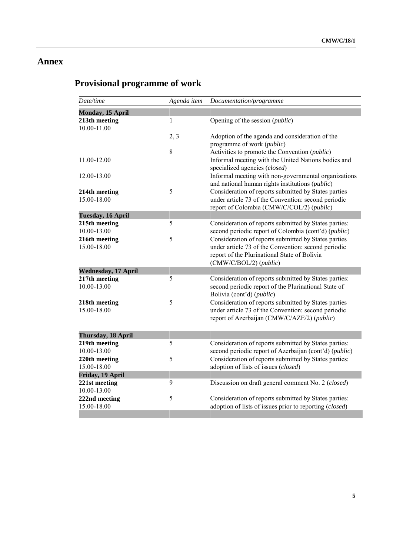## **Annex**

# **Provisional programme of work**

| Date/time                    | Agenda item | Documentation/programme                                                                                                                                                               |
|------------------------------|-------------|---------------------------------------------------------------------------------------------------------------------------------------------------------------------------------------|
| Monday, 15 April             |             |                                                                                                                                                                                       |
| 213th meeting<br>10.00-11.00 | 1           | Opening of the session ( <i>public</i> )                                                                                                                                              |
|                              | 2, 3        | Adoption of the agenda and consideration of the<br>programme of work ( <i>public</i> )                                                                                                |
|                              | 8           | Activities to promote the Convention ( <i>public</i> )                                                                                                                                |
| 11.00-12.00                  |             | Informal meeting with the United Nations bodies and                                                                                                                                   |
| 12.00-13.00                  |             | specialized agencies (closed)<br>Informal meeting with non-governmental organizations<br>and national human rights institutions (public)                                              |
| 214th meeting<br>15.00-18.00 | 5           | Consideration of reports submitted by States parties<br>under article 73 of the Convention: second periodic<br>report of Colombia (CMW/C/COL/2) (public)                              |
| Tuesday, 16 April            |             |                                                                                                                                                                                       |
| 215th meeting<br>10.00-13.00 | 5           | Consideration of reports submitted by States parties:<br>second periodic report of Colombia (cont'd) (public)                                                                         |
| 216th meeting<br>15.00-18.00 | 5           | Consideration of reports submitted by States parties<br>under article 73 of the Convention: second periodic<br>report of the Plurinational State of Bolivia<br>(CMW/C/BOL/2) (public) |
| <b>Wednesday, 17 April</b>   |             |                                                                                                                                                                                       |
| 217th meeting<br>10.00-13.00 | 5           | Consideration of reports submitted by States parties:<br>second periodic report of the Plurinational State of<br>Bolivia (cont'd) (public)                                            |
| 218th meeting<br>15.00-18.00 | 5           | Consideration of reports submitted by States parties<br>under article 73 of the Convention: second periodic<br>report of Azerbaijan (CMW/C/AZE/2) (public)                            |
| Thursday, 18 April           |             |                                                                                                                                                                                       |
| 219th meeting<br>10.00-13.00 | 5           | Consideration of reports submitted by States parties:<br>second periodic report of Azerbaijan (cont'd) (public)                                                                       |
| 220th meeting<br>15.00-18.00 | 5           | Consideration of reports submitted by States parties:<br>adoption of lists of issues (closed)                                                                                         |
| Friday, 19 April             |             |                                                                                                                                                                                       |
| 221st meeting<br>10.00-13.00 | 9           | Discussion on draft general comment No. 2 (closed)                                                                                                                                    |
| 222nd meeting<br>15.00-18.00 | 5           | Consideration of reports submitted by States parties:<br>adoption of lists of issues prior to reporting (closed)                                                                      |
|                              |             |                                                                                                                                                                                       |